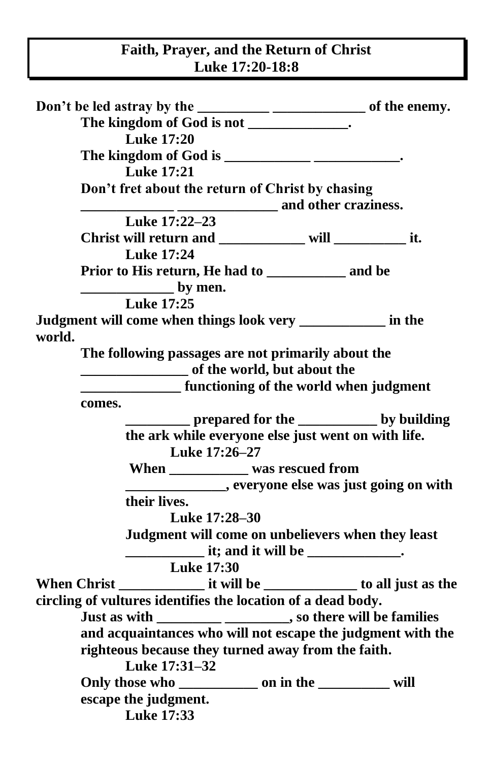## **Faith, Prayer, and the Return of Christ Luke 17:20-18:8**

| The kingdom of God is not _____________.                             |  |
|----------------------------------------------------------------------|--|
| <b>Luke 17:20</b>                                                    |  |
| The kingdom of God is ____________________________.                  |  |
| <b>Luke 17:21</b>                                                    |  |
| Don't fret about the return of Christ by chasing                     |  |
|                                                                      |  |
| Luke 17:22-23                                                        |  |
| Christ will return and __________ will _____________ it.             |  |
| <b>Luke 17:24</b>                                                    |  |
|                                                                      |  |
| $\frac{1}{2}$ by men.                                                |  |
| <b>Luke 17:25</b>                                                    |  |
| Judgment will come when things look very __________ in the<br>world. |  |
| The following passages are not primarily about the                   |  |
| of the world, but about the                                          |  |
| <b>EXECUTE:</b> functioning of the world when judgment               |  |
| comes.                                                               |  |
| prepared for the ______________ by building                          |  |
| the ark while everyone else just went on with life.                  |  |
| Luke 17:26-27                                                        |  |
| When ___________ was rescued from                                    |  |
| everyone else was just going on with                                 |  |
| their lives.                                                         |  |
| Luke 17:28-30                                                        |  |
| Judgment will come on unbelievers when they least                    |  |
|                                                                      |  |
| <b>Luke 17:30</b>                                                    |  |
|                                                                      |  |
| circling of vultures identifies the location of a dead body.         |  |
| Just as with ________________________, so there will be families     |  |
| and acquaintances who will not escape the judgment with the          |  |
| righteous because they turned away from the faith.                   |  |
| Luke 17:31-32                                                        |  |
|                                                                      |  |
| escape the judgment.                                                 |  |
| <b>Luke 17:33</b>                                                    |  |